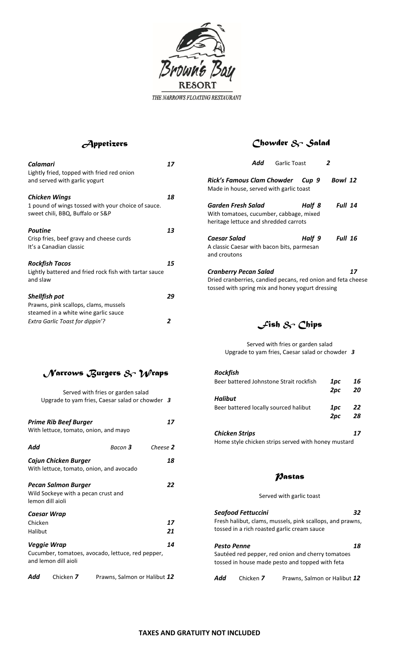

#### *Appetizers*

| Calamari<br>Lightly fried, topped with fried red onion<br>and served with garlic yogurt                        | 17 |
|----------------------------------------------------------------------------------------------------------------|----|
| <b>Chicken Wings</b><br>1 pound of wings tossed with your choice of sauce.<br>sweet chili, BBQ, Buffalo or S&P | 18 |
| <b>Poutine</b><br>Crisp fries, beef gravy and cheese curds<br>It's a Canadian classic                          | 13 |
| <b>Rockfish Tacos</b><br>Lightly battered and fried rock fish with tartar sauce<br>and slaw                    | 15 |
| <b>Shellfish pot</b><br>Prawns, pink scallops, clams, mussels<br>steamed in a white wine garlic sauce          | 29 |
| <b>Extra Garlic Toast for dippin'?</b>                                                                         | 2  |

### *Chowder & Salad*

| Add                                                                                                                                       | <b>Garlic Toast</b> |        | 2              |    |
|-------------------------------------------------------------------------------------------------------------------------------------------|---------------------|--------|----------------|----|
| Rick's Famous Clam Chowder Gup 9<br>Made in house, served with garlic toast                                                               |                     |        | Bowl 12        |    |
| Garden Fresh Salad<br>With tomatoes, cucumber, cabbage, mixed<br>heritage lettuce and shredded carrots                                    |                     | Half 8 | Full 14        |    |
| Caesar Salad<br>A classic Caesar with bacon bits, parmesan<br>and croutons                                                                |                     | Half 9 | <b>Full 16</b> |    |
| Cranberry Pecan Salad<br>Dried cranberries, candied pecans, red onion and feta cheese<br>tossed with spring mix and honey yogurt dressing |                     |        |                | 17 |

*Fish & Chips*

Served with fries or garden salad Upgrade to yam fries, Caesar salad or chowder *3*

| $\mathcal N$ arrows Burgers & $\mathcal W$ raps |  |  |  |
|-------------------------------------------------|--|--|--|
|-------------------------------------------------|--|--|--|

|                    |                                                                                       | Served with fries or garden salad<br>Upgrade to yam fries, Caesar salad or chowder 3 |          |
|--------------------|---------------------------------------------------------------------------------------|--------------------------------------------------------------------------------------|----------|
|                    | <b>Prime Rib Beef Burger</b>                                                          | With lettuce, tomato, onion, and mayo                                                | 17       |
| Add                |                                                                                       | Bacon <b>3</b>                                                                       | Cheese 2 |
|                    | Cajun Chicken Burger                                                                  | With lettuce, tomato, onion, and avocado                                             | 18       |
|                    | <b>Pecan Salmon Burger</b><br>Wild Sockeye with a pecan crust and<br>lemon dill aioli |                                                                                      | 22       |
| Chicken<br>Halibut | <b>Caesar Wrap</b>                                                                    |                                                                                      | 17<br>21 |
|                    | <b>Veggie Wrap</b><br>and lemon dill aioli                                            | Cucumber, tomatoes, avocado, lettuce, red pepper,                                    | 14       |
| Add                | Chicken 7                                                                             | Prawns, Salmon or Halibut 12                                                         |          |

#### *Rockfish* Beer battered Johnstone Strait rockfish *1pc 16 2pc 20 Halibut* Beer battered locally sourced halibut *1pc 22 2pc 28*

*Chicken Strips 17* Home style chicken strips served with honey mustard

#### *Pastas*

Served with garlic toast

| <b>Seafood Fettuccini</b><br>32<br>Fresh halibut, clams, mussels, pink scallops, and prawns,<br>tossed in a rich roasted garlic cream sauce |           |                              |  |  |
|---------------------------------------------------------------------------------------------------------------------------------------------|-----------|------------------------------|--|--|
| <b>Pesto Penne</b><br>18<br>Sautéed red pepper, red onion and cherry tomatoes<br>tossed in house made pesto and topped with feta            |           |                              |  |  |
| Add                                                                                                                                         | Chicken 7 | Prawns, Salmon or Halibut 12 |  |  |